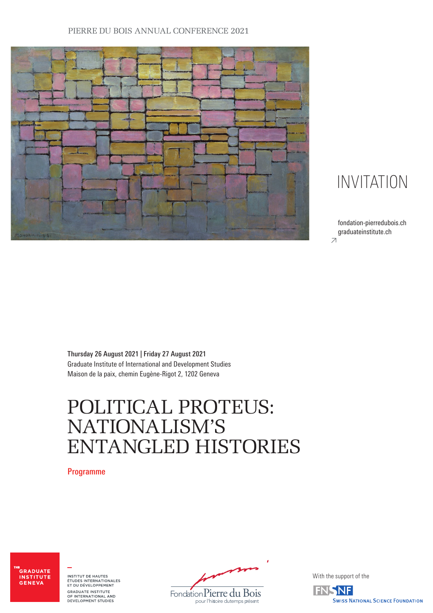## PIERRE DU BOIS ANNUAL CONFERENCE 2021



## INVITATION

 $\overline{z}$ fondation-pierredubois.ch graduateinstitute.ch

Thursday 26 August 2021 | Friday 27 August 2021 Graduate Institute of International and Development Studies Maison de la paix, chemin Eugène-Rigot 2, 1202 Geneva

# POLITICAL PROTEUS: NATIONALISM'S ENTANGLED HISTORIES

Programme

-<br>GRADUATE **INSTITUTE** GENEVA

INSTITUT DE HAUTES<br>ÉTUDES INTERNATIONALES<br>ET DU DÉVELOPPEMENT GRADUATE INSTITUTE<br>OF INTERNATIONAL AND<br>DEVELOPMENT STUDIES

pour l'histoire du temps présent Fondation Pierre du Bois

With the support of the